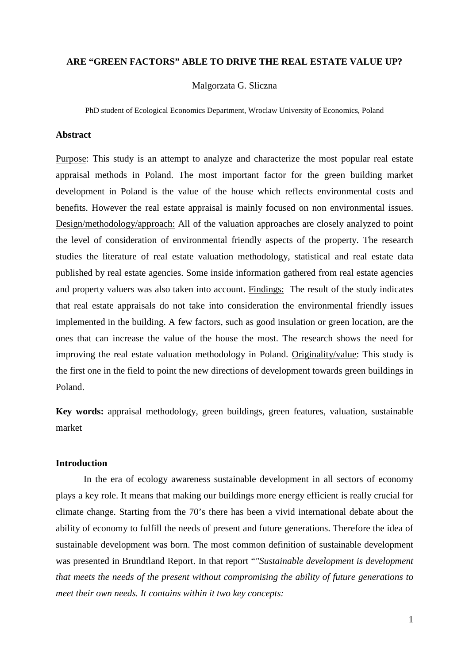# **ARE "GREEN FACTORS" ABLE TO DRIVE THE REAL ESTATE VALUE UP?**

Malgorzata G. Sliczna

PhD student of Ecological Economics Department, Wroclaw University of Economics, Poland

## **Abstract**

Purpose: This study is an attempt to analyze and characterize the most popular real estate appraisal methods in Poland. The most important factor for the green building market development in Poland is the value of the house which reflects environmental costs and benefits. However the real estate appraisal is mainly focused on non environmental issues. Design/methodology/approach: All of the valuation approaches are closely analyzed to point the level of consideration of environmental friendly aspects of the property. The research studies the literature of real estate valuation methodology, statistical and real estate data published by real estate agencies. Some inside information gathered from real estate agencies and property valuers was also taken into account. Findings: The result of the study indicates that real estate appraisals do not take into consideration the environmental friendly issues implemented in the building. A few factors, such as good insulation or green location, are the ones that can increase the value of the house the most. The research shows the need for improving the real estate valuation methodology in Poland. Originality/value: This study is the first one in the field to point the new directions of development towards green buildings in Poland.

**Key words:** appraisal methodology, green buildings, green features, valuation, sustainable market

# **Introduction**

In the era of ecology awareness sustainable development in all sectors of economy plays a key role. It means that making our buildings more energy efficient is really crucial for climate change. Starting from the 70's there has been a vivid international debate about the ability of economy to fulfill the needs of present and future generations. Therefore the idea of sustainable development was born. The most common definition of sustainable development was presented in Brundtland Report. In that report "*"Sustainable development is development that meets the needs of the present without compromising the ability of future generations to meet their own needs. It contains within it two key concepts:*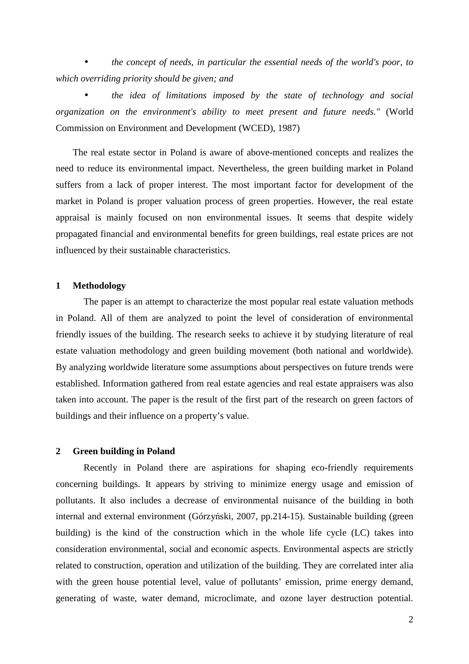• *the concept of needs, in particular the essential needs of the world's poor, to which overriding priority should be given; and* 

• *the idea of limitations imposed by the state of technology and social organization on the environment's ability to meet present and future needs."* (World Commission on Environment and Development (WCED), 1987)

The real estate sector in Poland is aware of above-mentioned concepts and realizes the need to reduce its environmental impact. Nevertheless, the green building market in Poland suffers from a lack of proper interest. The most important factor for development of the market in Poland is proper valuation process of green properties. However, the real estate appraisal is mainly focused on non environmental issues. It seems that despite widely propagated financial and environmental benefits for green buildings, real estate prices are not influenced by their sustainable characteristics.

#### **1 Methodology**

The paper is an attempt to characterize the most popular real estate valuation methods in Poland. All of them are analyzed to point the level of consideration of environmental friendly issues of the building. The research seeks to achieve it by studying literature of real estate valuation methodology and green building movement (both national and worldwide). By analyzing worldwide literature some assumptions about perspectives on future trends were established. Information gathered from real estate agencies and real estate appraisers was also taken into account. The paper is the result of the first part of the research on green factors of buildings and their influence on a property's value.

#### **2 Green building in Poland**

Recently in Poland there are aspirations for shaping eco-friendly requirements concerning buildings. It appears by striving to minimize energy usage and emission of pollutants. It also includes a decrease of environmental nuisance of the building in both internal and external environment (Górzyński, 2007, pp.214-15). Sustainable building (green building) is the kind of the construction which in the whole life cycle (LC) takes into consideration environmental, social and economic aspects. Environmental aspects are strictly related to construction, operation and utilization of the building. They are correlated inter alia with the green house potential level, value of pollutants' emission, prime energy demand, generating of waste, water demand, microclimate, and ozone layer destruction potential.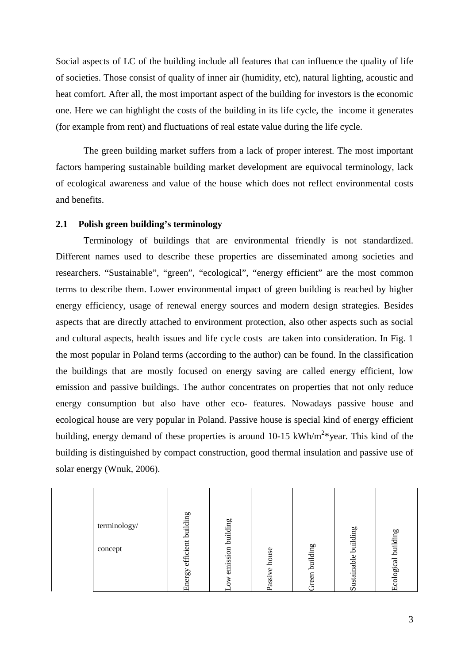Social aspects of LC of the building include all features that can influence the quality of life of societies. Those consist of quality of inner air (humidity, etc), natural lighting, acoustic and heat comfort. After all, the most important aspect of the building for investors is the economic one. Here we can highlight the costs of the building in its life cycle, the income it generates (for example from rent) and fluctuations of real estate value during the life cycle.

The green building market suffers from a lack of proper interest. The most important factors hampering sustainable building market development are equivocal terminology, lack of ecological awareness and value of the house which does not reflect environmental costs and benefits.

## **2.1 Polish green building's terminology**

Terminology of buildings that are environmental friendly is not standardized. Different names used to describe these properties are disseminated among societies and researchers. "Sustainable", "green", "ecological", "energy efficient" are the most common terms to describe them. Lower environmental impact of green building is reached by higher energy efficiency, usage of renewal energy sources and modern design strategies. Besides aspects that are directly attached to environment protection, also other aspects such as social and cultural aspects, health issues and life cycle costs are taken into consideration. In Fig. 1 the most popular in Poland terms (according to the author) can be found. In the classification the buildings that are mostly focused on energy saving are called energy efficient, low emission and passive buildings. The author concentrates on properties that not only reduce energy consumption but also have other eco- features. Nowadays passive house and ecological house are very popular in Poland. Passive house is special kind of energy efficient building, energy demand of these properties is around 10-15 kWh/m<sup>2\*</sup>year. This kind of the building is distinguished by compact construction, good thermal insulation and passive use of solar energy (Wnuk, 2006).

|  | terminology/<br>concept | building<br>efficient<br>Energy | building<br>emission<br>≳ | house<br>$\circ$<br>assiv<br>⌒ | building<br>reen<br>Ċ٦ | 60<br>buildin<br>Sustainable | building<br>cological<br>口 |
|--|-------------------------|---------------------------------|---------------------------|--------------------------------|------------------------|------------------------------|----------------------------|
|--|-------------------------|---------------------------------|---------------------------|--------------------------------|------------------------|------------------------------|----------------------------|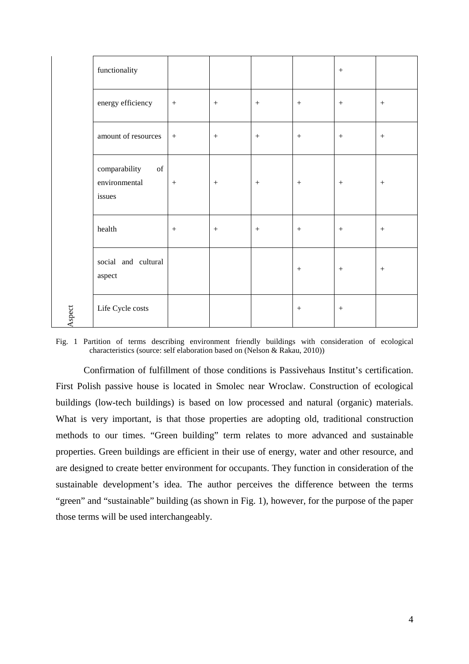|        | functionality                                  |                  |                  |         |                  | $\boldsymbol{+}$ |                  |
|--------|------------------------------------------------|------------------|------------------|---------|------------------|------------------|------------------|
|        | energy efficiency                              | $\, +$           | $\boldsymbol{+}$ | $^{+}$  | $\boldsymbol{+}$ | $\boldsymbol{+}$ | $\boldsymbol{+}$ |
|        | amount of resources                            | $+$              | $+$              | $+$     | $\boldsymbol{+}$ | $\boldsymbol{+}$ | $+$              |
|        | comparability<br>of<br>environmental<br>issues | $\,+\,$          | $\boldsymbol{+}$ | $\,+\,$ | $\boldsymbol{+}$ | $\boldsymbol{+}$ | $+$              |
|        | health                                         | $\boldsymbol{+}$ | $\boldsymbol{+}$ | $\,+\,$ | $\boldsymbol{+}$ | $\boldsymbol{+}$ | $\boldsymbol{+}$ |
|        | social and cultural<br>aspect                  |                  |                  |         | $\boldsymbol{+}$ | $\boldsymbol{+}$ |                  |
| Aspect | Life Cycle costs                               |                  |                  |         | $+$              | $\boldsymbol{+}$ |                  |

Fig. 1 Partition of terms describing environment friendly buildings with consideration of ecological characteristics (source: self elaboration based on (Nelson & Rakau, 2010))

Confirmation of fulfillment of those conditions is Passivehaus Institut's certification. First Polish passive house is located in Smolec near Wroclaw. Construction of ecological buildings (low-tech buildings) is based on low processed and natural (organic) materials. What is very important, is that those properties are adopting old, traditional construction methods to our times. "Green building" term relates to more advanced and sustainable properties. Green buildings are efficient in their use of energy, water and other resource, and are designed to create better environment for occupants. They function in consideration of the sustainable development's idea. The author perceives the difference between the terms "green" and "sustainable" building (as shown in Fig. 1), however, for the purpose of the paper those terms will be used interchangeably.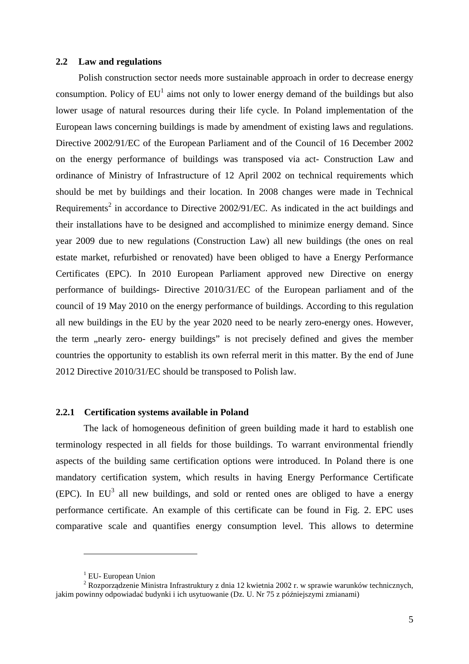#### **2.2 Law and regulations**

Polish construction sector needs more sustainable approach in order to decrease energy consumption. Policy of  $EU<sup>1</sup>$  aims not only to lower energy demand of the buildings but also lower usage of natural resources during their life cycle. In Poland implementation of the European laws concerning buildings is made by amendment of existing laws and regulations. Directive 2002/91/EC of the European Parliament and of the Council of 16 December 2002 on the energy performance of buildings was transposed via act- Construction Law and ordinance of Ministry of Infrastructure of 12 April 2002 on technical requirements which should be met by buildings and their location. In 2008 changes were made in Technical Requirements<sup>2</sup> in accordance to Directive  $2002/91/EC$ . As indicated in the act buildings and their installations have to be designed and accomplished to minimize energy demand. Since year 2009 due to new regulations (Construction Law) all new buildings (the ones on real estate market, refurbished or renovated) have been obliged to have a Energy Performance Certificates (EPC). In 2010 European Parliament approved new Directive on energy performance of buildings- Directive 2010/31/EC of the European parliament and of the council of 19 May 2010 on the energy performance of buildings. According to this regulation all new buildings in the EU by the year 2020 need to be nearly zero-energy ones. However, the term "nearly zero- energy buildings" is not precisely defined and gives the member countries the opportunity to establish its own referral merit in this matter. By the end of June 2012 Directive 2010/31/EC should be transposed to Polish law.

#### **2.2.1 Certification systems available in Poland**

The lack of homogeneous definition of green building made it hard to establish one terminology respected in all fields for those buildings. To warrant environmental friendly aspects of the building same certification options were introduced. In Poland there is one mandatory certification system, which results in having Energy Performance Certificate  $(EPC)$ . In EU<sup>3</sup> all new buildings, and sold or rented ones are obliged to have a energy performance certificate. An example of this certificate can be found in Fig. 2. EPC uses comparative scale and quantifies energy consumption level. This allows to determine

 $\overline{a}$ 

<sup>&</sup>lt;sup>1</sup> EU- European Union

<sup>&</sup>lt;sup>2</sup> Rozporządzenie Ministra Infrastruktury z dnia 12 kwietnia 2002 r. w sprawie warunków technicznych, jakim powinny odpowiadać budynki i ich usytuowanie (Dz. U. Nr 75 z późniejszymi zmianami)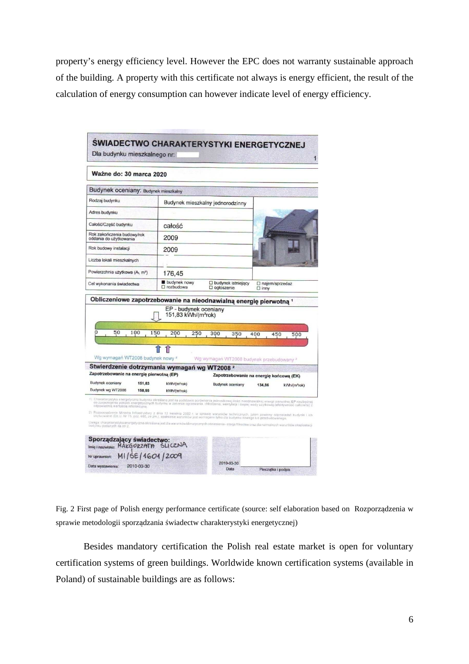property's energy efficiency level. However the EPC does not warranty sustainable approach of the building. A property with this certificate not always is energy efficient, the result of the calculation of energy consumption can however indicate level of energy efficiency.

| Ważne do: 30 marca 2020                                                                                 |            |                                     |                                                                   |                                                                                                                                                                                                                                                                                                                                                                                                                                                       |
|---------------------------------------------------------------------------------------------------------|------------|-------------------------------------|-------------------------------------------------------------------|-------------------------------------------------------------------------------------------------------------------------------------------------------------------------------------------------------------------------------------------------------------------------------------------------------------------------------------------------------------------------------------------------------------------------------------------------------|
| Budynek oceniany: Budynek mieszkalny                                                                    |            |                                     |                                                                   |                                                                                                                                                                                                                                                                                                                                                                                                                                                       |
| Rodzaj budynku                                                                                          |            |                                     | Budynek mieszkalny jednorodzinny                                  |                                                                                                                                                                                                                                                                                                                                                                                                                                                       |
| Adres budynku                                                                                           |            |                                     |                                                                   |                                                                                                                                                                                                                                                                                                                                                                                                                                                       |
| Całość/Część budynku                                                                                    |            | całość                              |                                                                   |                                                                                                                                                                                                                                                                                                                                                                                                                                                       |
| Rok zakończenia budowy/rok<br>oddania do użytkowania                                                    |            | 2009                                |                                                                   |                                                                                                                                                                                                                                                                                                                                                                                                                                                       |
| Rok budowy instalacji                                                                                   |            | 2009                                |                                                                   |                                                                                                                                                                                                                                                                                                                                                                                                                                                       |
| Liczba lokali mieszkalnych                                                                              |            |                                     |                                                                   |                                                                                                                                                                                                                                                                                                                                                                                                                                                       |
| Powierzchnia użytkowa (A, m <sup>2</sup> )                                                              |            | 176,45                              |                                                                   |                                                                                                                                                                                                                                                                                                                                                                                                                                                       |
| Cel wykonania świadectwa                                                                                |            | budynek nowy<br>$\square$ rozbudowa | D budynek istniejący<br>□ ogłoszenie                              | □ najem/sprzedaż<br>$\square$ inny                                                                                                                                                                                                                                                                                                                                                                                                                    |
| 50<br>O<br>Wg wymagań WT2008 budynek nowy <sup>2</sup>                                                  | 100<br>150 | 200<br>250                          | 300<br>350<br>Wg wymagań WT2008 budynek przebudowany <sup>2</sup> | 400<br>450<br>500                                                                                                                                                                                                                                                                                                                                                                                                                                     |
|                                                                                                         |            |                                     |                                                                   | Zapotrzebowanie na energię końcową (EK)                                                                                                                                                                                                                                                                                                                                                                                                               |
| Zapotrzebowanie na energię pierwotną (EP)                                                               |            |                                     |                                                                   | 134,86<br>kWh/(m <sup>2</sup> rok)                                                                                                                                                                                                                                                                                                                                                                                                                    |
| Stwierdzenie dotrzymania wymagań wg WT2008 <sup>2</sup><br><b>Budynek oceniany</b><br>Budynek wg WT2008 | 151,83     | kWh/(m <sup>2</sup> rok)            | Budynek oceniany                                                  |                                                                                                                                                                                                                                                                                                                                                                                                                                                       |
| odpowiednia wartościa referencyjna.                                                                     | 158,55     | kWh/(m <sup>2</sup> rok)            |                                                                   | 1) Charakterystyka energetyczna budynku określana jest na podstawie porównania jednostkowej ilości nieodnawialnej energii pierwotnej EP niezbędnej<br>do zaspokojenia potrzeb energetycznych budynku w zakresie ogrzewania, chłodzenia, wentylacji i ciepłej wody użytkowej (efektywność całkowita) z<br>2) Rozporządzenie Ministra Infrastruktury z dnia 12 kwietnia 2002 r. w sprawie warunków technicznych, jakim powinny odpowiadać budynki i ich |

Fig. 2 First page of Polish energy performance certificate (source: self elaboration based on Rozporządzenia w sprawie metodologii sporządzania świadectw charakterystyki energetycznej)

Besides mandatory certification the Polish real estate market is open for voluntary certification systems of green buildings. Worldwide known certification systems (available in Poland) of sustainable buildings are as follows: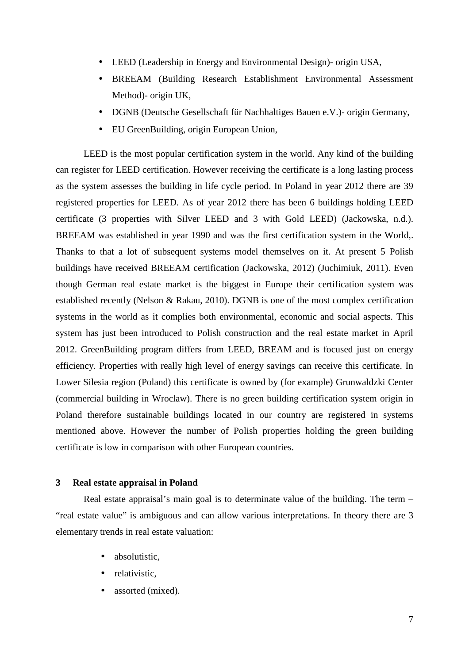- LEED (Leadership in Energy and Environmental Design)- origin USA,
- BREEAM (Building Research Establishment Environmental Assessment Method)- origin UK,
- DGNB (Deutsche Gesellschaft für Nachhaltiges Bauen e.V.)- origin Germany,
- EU GreenBuilding, origin European Union,

LEED is the most popular certification system in the world. Any kind of the building can register for LEED certification. However receiving the certificate is a long lasting process as the system assesses the building in life cycle period. In Poland in year 2012 there are 39 registered properties for LEED. As of year 2012 there has been 6 buildings holding LEED certificate (3 properties with Silver LEED and 3 with Gold LEED) (Jackowska, n.d.). BREEAM was established in year 1990 and was the first certification system in the World,. Thanks to that a lot of subsequent systems model themselves on it. At present 5 Polish buildings have received BREEAM certification (Jackowska, 2012) (Juchimiuk, 2011). Even though German real estate market is the biggest in Europe their certification system was established recently (Nelson & Rakau, 2010). DGNB is one of the most complex certification systems in the world as it complies both environmental, economic and social aspects. This system has just been introduced to Polish construction and the real estate market in April 2012. GreenBuilding program differs from LEED, BREAM and is focused just on energy efficiency. Properties with really high level of energy savings can receive this certificate. In Lower Silesia region (Poland) this certificate is owned by (for example) Grunwaldzki Center (commercial building in Wroclaw). There is no green building certification system origin in Poland therefore sustainable buildings located in our country are registered in systems mentioned above. However the number of Polish properties holding the green building certificate is low in comparison with other European countries.

## **3 Real estate appraisal in Poland**

Real estate appraisal's main goal is to determinate value of the building. The term – "real estate value" is ambiguous and can allow various interpretations. In theory there are 3 elementary trends in real estate valuation:

- absolutistic,
- relativistic,
- assorted (mixed).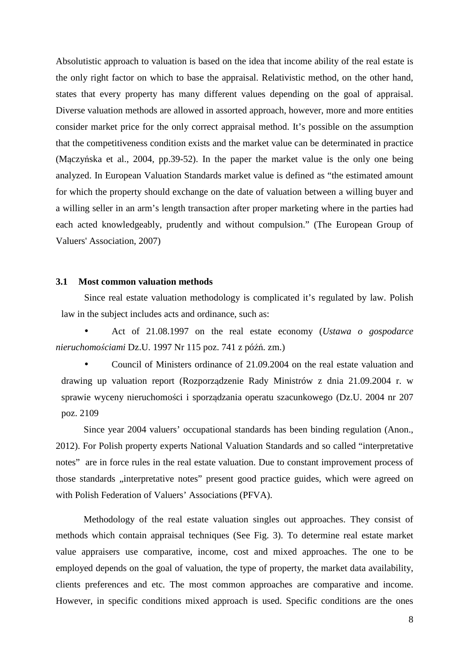Absolutistic approach to valuation is based on the idea that income ability of the real estate is the only right factor on which to base the appraisal. Relativistic method, on the other hand, states that every property has many different values depending on the goal of appraisal. Diverse valuation methods are allowed in assorted approach, however, more and more entities consider market price for the only correct appraisal method. It's possible on the assumption that the competitiveness condition exists and the market value can be determinated in practice (Mączyńska et al., 2004, pp.39-52). In the paper the market value is the only one being analyzed. In European Valuation Standards market value is defined as "the estimated amount for which the property should exchange on the date of valuation between a willing buyer and a willing seller in an arm's length transaction after proper marketing where in the parties had each acted knowledgeably, prudently and without compulsion." (The European Group of Valuers' Association, 2007)

### **3.1 Most common valuation methods**

Since real estate valuation methodology is complicated it's regulated by law. Polish law in the subject includes acts and ordinance, such as:

• Act of 21.08.1997 on the real estate economy (*Ustawa o gospodarce nieruchomo*ś*ciami* Dz.U. 1997 Nr 115 poz. 741 z późń. zm.)

• Council of Ministers ordinance of 21.09.2004 on the real estate valuation and drawing up valuation report (Rozporządzenie Rady Ministrów z dnia 21.09.2004 r. w sprawie wyceny nieruchomości i sporządzania operatu szacunkowego (Dz.U. 2004 nr 207 poz. 2109

Since year 2004 valuers' occupational standards has been binding regulation (Anon., 2012). For Polish property experts National Valuation Standards and so called "interpretative notes" are in force rules in the real estate valuation. Due to constant improvement process of those standards "interpretative notes" present good practice guides, which were agreed on with Polish Federation of Valuers' Associations (PFVA).

Methodology of the real estate valuation singles out approaches. They consist of methods which contain appraisal techniques (See Fig. 3). To determine real estate market value appraisers use comparative, income, cost and mixed approaches. The one to be employed depends on the goal of valuation, the type of property, the market data availability, clients preferences and etc. The most common approaches are comparative and income. However, in specific conditions mixed approach is used. Specific conditions are the ones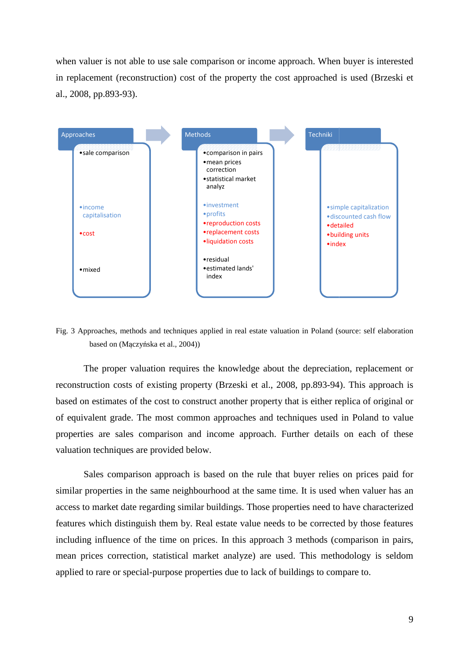when valuer is not able to use sale comparison or income approach. When buyer is interested in replacement (reconstruction) cost of the property the cost approached is used (Brzeski et al., 2008, pp.893-93).



Fig. 3 Approaches, methods and techniques applied in real estate valuation in Poland (source: self elaboration based on (Mączyńska et al., 2004))

The proper valuation requires the knowledge about the depreciation, replacement or reconstruction costs of existing property (Brzeski et al., 2008, pp.893-94). This approach is based on estimates of the cost to construct another property that is either replica of original or based on estimates of the cost to construct another property that is either replica of original or<br>of equivalent grade. The most common approaches and techniques used in Poland to value properties are sales comparison and income approach. Further details on each of these valuation techniques are provided below.

Sales comparison approach is based on the rule that buyer relies on prices paid for similar properties in the same neighbourhood at the same time. It is used when valuer has an access to market date regarding similar buildings. Those properties need to have characterized access to market date regarding similar buildings. Those properties need to have characterized<br>features which distinguish them by. Real estate value needs to be corrected by those features including influence of the time on prices. In this approach 3 methods (comparison in pairs, mean prices correction, statistical market analyze) are used. This methodology is seldom applied to rare or special-purpose properties due to lack of buildings to compare to.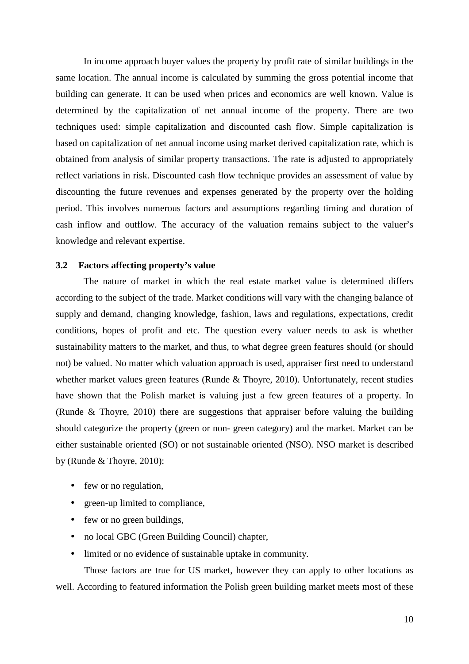In income approach buyer values the property by profit rate of similar buildings in the same location. The annual income is calculated by summing the gross potential income that building can generate. It can be used when prices and economics are well known. Value is determined by the capitalization of net annual income of the property. There are two techniques used: simple capitalization and discounted cash flow. Simple capitalization is based on capitalization of net annual income using market derived capitalization rate, which is obtained from analysis of similar property transactions. The rate is adjusted to appropriately reflect variations in risk. Discounted cash flow technique provides an assessment of value by discounting the future revenues and expenses generated by the property over the holding period. This involves numerous factors and assumptions regarding timing and duration of cash inflow and outflow. The accuracy of the valuation remains subject to the valuer's knowledge and relevant expertise.

### **3.2 Factors affecting property's value**

The nature of market in which the real estate market value is determined differs according to the subject of the trade. Market conditions will vary with the changing balance of supply and demand, changing knowledge, fashion, laws and regulations, expectations, credit conditions, hopes of profit and etc. The question every valuer needs to ask is whether sustainability matters to the market, and thus, to what degree green features should (or should not) be valued. No matter which valuation approach is used, appraiser first need to understand whether market values green features (Runde & Thoyre, 2010). Unfortunately, recent studies have shown that the Polish market is valuing just a few green features of a property. In (Runde & Thoyre, 2010) there are suggestions that appraiser before valuing the building should categorize the property (green or non- green category) and the market. Market can be either sustainable oriented (SO) or not sustainable oriented (NSO). NSO market is described by (Runde & Thoyre, 2010):

- few or no regulation,
- green-up limited to compliance,
- few or no green buildings,
- no local GBC (Green Building Council) chapter,
- limited or no evidence of sustainable uptake in community.

Those factors are true for US market, however they can apply to other locations as well. According to featured information the Polish green building market meets most of these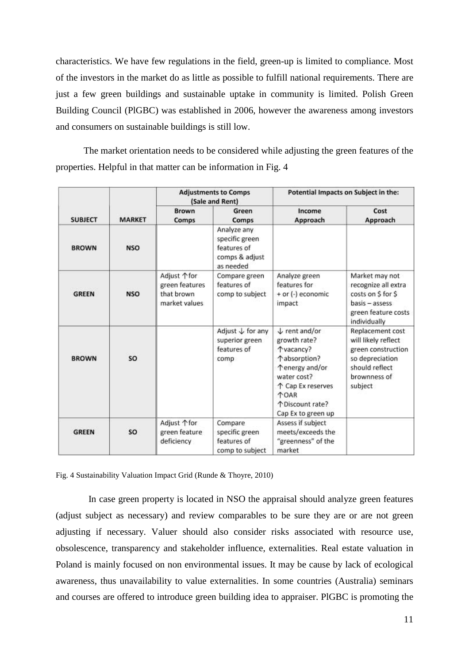characteristics. We have few regulations in the field, green-up is limited to compliance. Most of the investors in the market do as little as possible to fulfill national requirements. There are just a few green buildings and sustainable uptake in community is limited. Polish Green Building Council (PlGBC) was established in 2006, however the awareness among investors and consumers on sustainable buildings is still low.

The market orientation needs to be considered while adjusting the green features of the properties. Helpful in that matter can be information in Fig. 4

|                |               |                                                               | <b>Adjustments to Comps</b><br>(Sale and Rent)                              |                                                                                                                                                                                      | Potential Impacts on Subject in the:                                                                                          |
|----------------|---------------|---------------------------------------------------------------|-----------------------------------------------------------------------------|--------------------------------------------------------------------------------------------------------------------------------------------------------------------------------------|-------------------------------------------------------------------------------------------------------------------------------|
| <b>SUBJECT</b> | <b>MARKET</b> | <b>Brown</b><br>Comps                                         | Green<br>Comps                                                              | Income<br>Approach                                                                                                                                                                   | Cost<br>Approach                                                                                                              |
| <b>BROWN</b>   | <b>NSO</b>    |                                                               | Analyze any<br>specific green<br>features of<br>comps & adjust<br>as needed |                                                                                                                                                                                      |                                                                                                                               |
| <b>GREEN</b>   | <b>NSO</b>    | Adjust ↑ for<br>green features<br>that brown<br>market values | Compare green<br>features of<br>comp to subject                             | Analyze green<br>features for<br>+ or (-) economic<br>impact                                                                                                                         | Market may not<br>recognize all extra<br>costs on \$ for \$<br>basis - assess<br>green feature costs<br>individually          |
| <b>BROWN</b>   | SO            |                                                               | Adjust $\downarrow$ for any<br>superior green<br>features of<br>comp        | $\downarrow$ rent and/or<br>growth rate?<br>Tvacancy?<br>↑absorption?<br>↑energy and/or<br>water cost?<br>↑ Cap Ex reserves<br><b>TOAR</b><br>↑ Discount rate?<br>Cap Ex to green up | Replacement cost<br>will likely reflect<br>green construction<br>so depreciation<br>should reflect<br>brownness of<br>subject |
| <b>GREEN</b>   | SO            | Adjust 个for<br>green feature<br>deficiency                    | Compare<br>specific green<br>features of<br>comp to subject                 | Assess if subject<br>meets/exceeds the<br>"greenness" of the<br>market                                                                                                               |                                                                                                                               |

Fig. 4 Sustainability Valuation Impact Grid (Runde & Thoyre, 2010)

 In case green property is located in NSO the appraisal should analyze green features (adjust subject as necessary) and review comparables to be sure they are or are not green adjusting if necessary. Valuer should also consider risks associated with resource use, obsolescence, transparency and stakeholder influence, externalities. Real estate valuation in Poland is mainly focused on non environmental issues. It may be cause by lack of ecological awareness, thus unavailability to value externalities. In some countries (Australia) seminars and courses are offered to introduce green building idea to appraiser. PlGBC is promoting the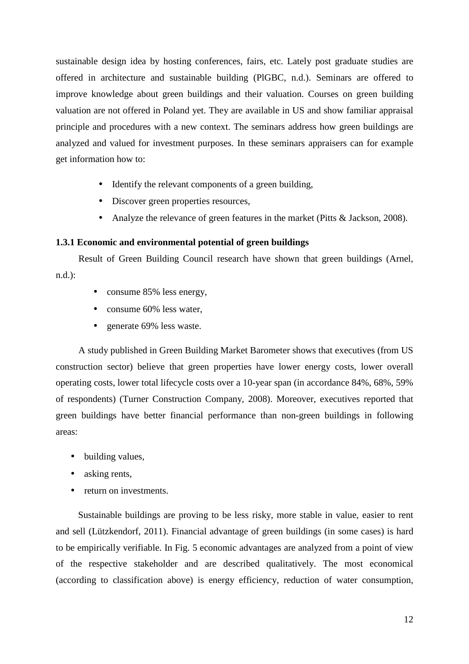sustainable design idea by hosting conferences, fairs, etc. Lately post graduate studies are offered in architecture and sustainable building (PlGBC, n.d.). Seminars are offered to improve knowledge about green buildings and their valuation. Courses on green building valuation are not offered in Poland yet. They are available in US and show familiar appraisal principle and procedures with a new context. The seminars address how green buildings are analyzed and valued for investment purposes. In these seminars appraisers can for example get information how to:

- Identify the relevant components of a green building,
- Discover green properties resources,
- Analyze the relevance of green features in the market (Pitts & Jackson, 2008).

# **1.3.1 Economic and environmental potential of green buildings**

Result of Green Building Council research have shown that green buildings (Arnel, n.d.):

- consume 85% less energy,
- consume 60% less water,
- generate 69% less waste.

A study published in Green Building Market Barometer shows that executives (from US construction sector) believe that green properties have lower energy costs, lower overall operating costs, lower total lifecycle costs over a 10-year span (in accordance 84%, 68%, 59% of respondents) (Turner Construction Company, 2008). Moreover, executives reported that green buildings have better financial performance than non-green buildings in following areas:

- building values,
- asking rents,
- return on investments.

Sustainable buildings are proving to be less risky, more stable in value, easier to rent and sell (Lützkendorf, 2011). Financial advantage of green buildings (in some cases) is hard to be empirically verifiable. In Fig. 5 economic advantages are analyzed from a point of view of the respective stakeholder and are described qualitatively. The most economical (according to classification above) is energy efficiency, reduction of water consumption,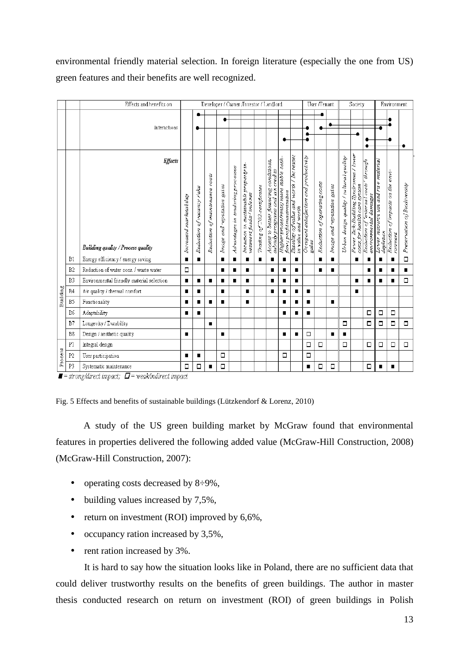environmental friendly material selection. In foreign literature (especially the one from US) green features and their benefits are well recognized.

|          |                | Effects and benefits on                                                                                                                         |                         |                               |                                |                                        |                                   | Developer / Owner /Investor / Landlord                            |                             |                                                                            |                                                                     |                                                                |                                                 | User /Tenant                 |                             |                                          | Society                                                               |                                                                                         |                                                  | Environment                                     |                              |
|----------|----------------|-------------------------------------------------------------------------------------------------------------------------------------------------|-------------------------|-------------------------------|--------------------------------|----------------------------------------|-----------------------------------|-------------------------------------------------------------------|-----------------------------|----------------------------------------------------------------------------|---------------------------------------------------------------------|----------------------------------------------------------------|-------------------------------------------------|------------------------------|-----------------------------|------------------------------------------|-----------------------------------------------------------------------|-----------------------------------------------------------------------------------------|--------------------------------------------------|-------------------------------------------------|------------------------------|
|          |                | Interactions                                                                                                                                    |                         |                               |                                | ٠                                      |                                   |                                                                   |                             |                                                                            |                                                                     |                                                                |                                                 |                              |                             |                                          |                                                                       |                                                                                         |                                                  |                                                 | ٠                            |
|          |                | <b>Effects</b><br>Building quality / Process quality                                                                                            | Increased marketability | of vacancy risks<br>Reduction | Reduction of maintenance costs | $_{\rm gains}$<br>image and reputation | Advantages in tendering processes | Inclusion in sustainable property in-<br>vesiment funds / indexes | Trading of CO2-certificates | Access to better financing conditions,<br>subsidy programs and tax credits | Higher prices/rents; more stable cash-<br>flow; profil maximisation | Stability of value and worth / Increases<br>in value and worth | Occupant satisfaction and productivity<br>gaxis | Reduction of operating costs | Inaage and reputation gains | Urban design quality / cu ltural quality | Fewer Sick-Building Syndromes / lower<br>cosis for health care system | <b>Urrough</b><br>external costs<br>Reduction of 'external co<br>environmental darnages | Lower resource use and raw material<br>depletion | -www.cross.com/2011/0<br>Reduction o<br>ronment | Preservation of Biodiversity |
|          | B1             | Energy efficiency / energy saving                                                                                                               | $\blacksquare$<br>ο     | $\blacksquare$                |                                | п                                      | $\blacksquare$                    | $\blacksquare$                                                    | $\blacksquare$              | $\blacksquare$                                                             | $\blacksquare$                                                      | $\blacksquare$                                                 |                                                 | $\blacksquare$               | $\blacksquare$              |                                          | $\blacksquare$                                                        | $\blacksquare$                                                                          | п                                                | $\blacksquare$                                  | $\Box$                       |
|          | B <sub>2</sub> | Reduction of water cons. / waste water                                                                                                          |                         |                               |                                | П                                      | П                                 | ■                                                                 |                             | $\blacksquare$                                                             | П                                                                   | П                                                              |                                                 | п                            | п                           |                                          |                                                                       | п                                                                                       |                                                  | п                                               | П                            |
|          | B <sub>3</sub> | Environmental friendly material selection                                                                                                       |                         |                               | ■                              |                                        | $\blacksquare$                    | ■                                                                 |                             | П                                                                          | П                                                                   | П                                                              |                                                 |                              |                             |                                          | П                                                                     | п                                                                                       |                                                  | $\blacksquare$                                  | $\Box$                       |
| Building | B <sub>4</sub> | Air quality / thermal comfort                                                                                                                   | П                       | п                             |                                | п                                      |                                   | п                                                                 |                             | $\blacksquare$                                                             | г                                                                   | п                                                              | $\blacksquare$                                  |                              |                             |                                          | п                                                                     |                                                                                         |                                                  |                                                 |                              |
|          | B5             | Functionality                                                                                                                                   | П                       |                               | п                              | п                                      |                                   | п                                                                 |                             |                                                                            | П                                                                   | ■                                                              | $\blacksquare$                                  |                              | п                           |                                          |                                                                       |                                                                                         |                                                  |                                                 |                              |
|          | B6             | Adaptability                                                                                                                                    | ∎                       | п                             |                                |                                        |                                   |                                                                   |                             |                                                                            | П                                                                   | п                                                              | П                                               |                              |                             |                                          |                                                                       | $\Box$                                                                                  | Ω                                                | Ω                                               |                              |
|          | B7             | Longevity / Durability                                                                                                                          |                         |                               | п                              |                                        |                                   |                                                                   |                             |                                                                            |                                                                     |                                                                |                                                 |                              |                             | $\Box$                                   |                                                                       | $\Box$                                                                                  | Ξ                                                | $\Box$                                          | $\Box$                       |
|          | B8             | Design / aesthetic quality                                                                                                                      | $\blacksquare$          |                               |                                | п                                      |                                   |                                                                   |                             |                                                                            | $\blacksquare$                                                      | $\blacksquare$                                                 | $\Box$                                          |                              | $\blacksquare$              | П                                        |                                                                       |                                                                                         |                                                  |                                                 |                              |
|          | P <sub>1</sub> | Integral design                                                                                                                                 |                         |                               |                                |                                        |                                   |                                                                   |                             |                                                                            |                                                                     |                                                                | $\Box$                                          | $\Box$                       |                             | $\Box$                                   |                                                                       | $\Box$                                                                                  | $\Box$                                           | □                                               | $\Box$                       |
| Process  | P <sub>2</sub> | User participation                                                                                                                              | $\blacksquare$          | п                             |                                | $\Box$                                 |                                   |                                                                   |                             |                                                                            | $\Box$                                                              |                                                                | $\Box$                                          |                              |                             |                                          |                                                                       |                                                                                         |                                                  |                                                 |                              |
|          | P3             | Systematic maintenance<br>المنقصات الماليتين لقطاط وللمتالة فالمحال والمصادر<br>$\mathbf{\mathcal{L}}$<br>المناور فالمحافظ والمتعاقبة والمحاورة | □                       | □                             | п                              | $\Box$                                 |                                   |                                                                   |                             |                                                                            |                                                                     |                                                                | $\blacksquare$                                  | □                            | □                           |                                          |                                                                       | □                                                                                       | п                                                | $\blacksquare$                                  |                              |

 $\blacksquare$  = strong/direct impact;  $\Box$  = weak/indirect impact

Fig. 5 Effects and benefits of sustainable buildings (Lützkendorf & Lorenz, 2010)

A study of the US green building market by McGraw found that environmental features in properties delivered the following added value (McGraw-Hill Construction, 2008) (McGraw-Hill Construction, 2007):

- operating costs decreased by  $8\div 9\%$ ,
- building values increased by 7,5%,
- return on investment (ROI) improved by 6,6%,
- occupancy ration increased by 3,5%,
- rent ration increased by 3%.

It is hard to say how the situation looks like in Poland, there are no sufficient data that could deliver trustworthy results on the benefits of green buildings. The author in master thesis conducted research on return on investment (ROI) of green buildings in Polish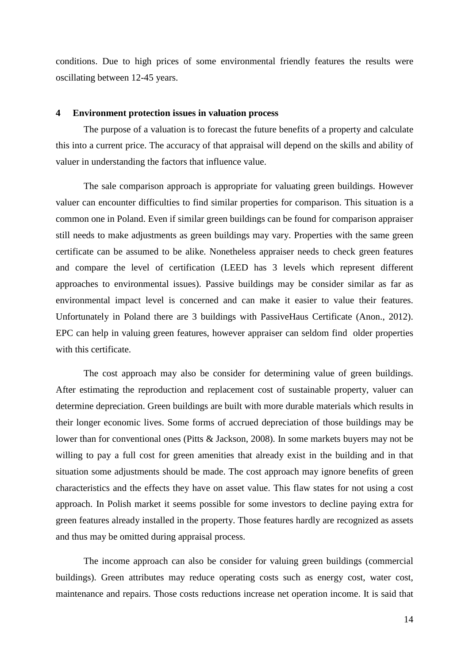conditions. Due to high prices of some environmental friendly features the results were oscillating between 12-45 years.

### **4 Environment protection issues in valuation process**

The purpose of a valuation is to forecast the future benefits of a property and calculate this into a current price. The accuracy of that appraisal will depend on the skills and ability of valuer in understanding the factors that influence value.

The sale comparison approach is appropriate for valuating green buildings. However valuer can encounter difficulties to find similar properties for comparison. This situation is a common one in Poland. Even if similar green buildings can be found for comparison appraiser still needs to make adjustments as green buildings may vary. Properties with the same green certificate can be assumed to be alike. Nonetheless appraiser needs to check green features and compare the level of certification (LEED has 3 levels which represent different approaches to environmental issues). Passive buildings may be consider similar as far as environmental impact level is concerned and can make it easier to value their features. Unfortunately in Poland there are 3 buildings with PassiveHaus Certificate (Anon., 2012). EPC can help in valuing green features, however appraiser can seldom find older properties with this certificate.

The cost approach may also be consider for determining value of green buildings. After estimating the reproduction and replacement cost of sustainable property, valuer can determine depreciation. Green buildings are built with more durable materials which results in their longer economic lives. Some forms of accrued depreciation of those buildings may be lower than for conventional ones (Pitts & Jackson, 2008). In some markets buyers may not be willing to pay a full cost for green amenities that already exist in the building and in that situation some adjustments should be made. The cost approach may ignore benefits of green characteristics and the effects they have on asset value. This flaw states for not using a cost approach. In Polish market it seems possible for some investors to decline paying extra for green features already installed in the property. Those features hardly are recognized as assets and thus may be omitted during appraisal process.

The income approach can also be consider for valuing green buildings (commercial buildings). Green attributes may reduce operating costs such as energy cost, water cost, maintenance and repairs. Those costs reductions increase net operation income. It is said that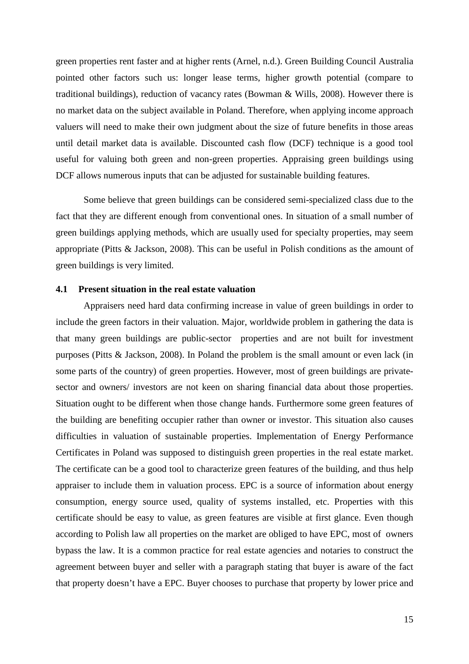green properties rent faster and at higher rents (Arnel, n.d.). Green Building Council Australia pointed other factors such us: longer lease terms, higher growth potential (compare to traditional buildings), reduction of vacancy rates (Bowman & Wills, 2008). However there is no market data on the subject available in Poland. Therefore, when applying income approach valuers will need to make their own judgment about the size of future benefits in those areas until detail market data is available. Discounted cash flow (DCF) technique is a good tool useful for valuing both green and non-green properties. Appraising green buildings using DCF allows numerous inputs that can be adjusted for sustainable building features.

Some believe that green buildings can be considered semi-specialized class due to the fact that they are different enough from conventional ones. In situation of a small number of green buildings applying methods, which are usually used for specialty properties, may seem appropriate (Pitts & Jackson, 2008). This can be useful in Polish conditions as the amount of green buildings is very limited.

## **4.1 Present situation in the real estate valuation**

Appraisers need hard data confirming increase in value of green buildings in order to include the green factors in their valuation. Major, worldwide problem in gathering the data is that many green buildings are public-sector properties and are not built for investment purposes (Pitts & Jackson, 2008). In Poland the problem is the small amount or even lack (in some parts of the country) of green properties. However, most of green buildings are privatesector and owners/ investors are not keen on sharing financial data about those properties. Situation ought to be different when those change hands. Furthermore some green features of the building are benefiting occupier rather than owner or investor. This situation also causes difficulties in valuation of sustainable properties. Implementation of Energy Performance Certificates in Poland was supposed to distinguish green properties in the real estate market. The certificate can be a good tool to characterize green features of the building, and thus help appraiser to include them in valuation process. EPC is a source of information about energy consumption, energy source used, quality of systems installed, etc. Properties with this certificate should be easy to value, as green features are visible at first glance. Even though according to Polish law all properties on the market are obliged to have EPC, most of owners bypass the law. It is a common practice for real estate agencies and notaries to construct the agreement between buyer and seller with a paragraph stating that buyer is aware of the fact that property doesn't have a EPC. Buyer chooses to purchase that property by lower price and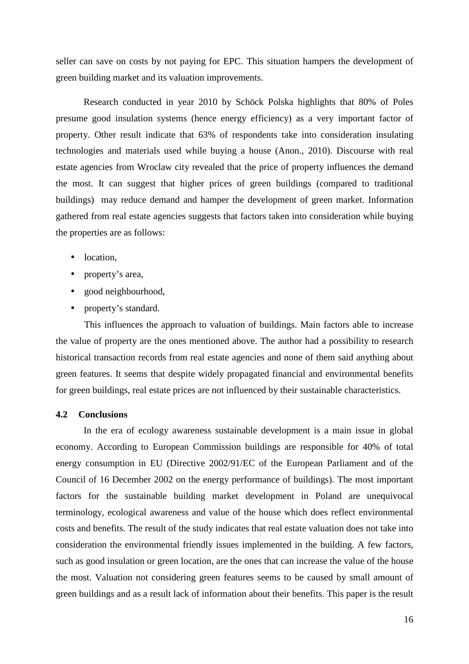seller can save on costs by not paying for EPC. This situation hampers the development of green building market and its valuation improvements.

Research conducted in year 2010 by Schöck Polska highlights that 80% of Poles presume good insulation systems (hence energy efficiency) as a very important factor of property. Other result indicate that 63% of respondents take into consideration insulating technologies and materials used while buying a house (Anon., 2010). Discourse with real estate agencies from Wroclaw city revealed that the price of property influences the demand the most. It can suggest that higher prices of green buildings (compared to traditional buildings) may reduce demand and hamper the development of green market. Information gathered from real estate agencies suggests that factors taken into consideration while buying the properties are as follows:

- location.
- property's area,
- good neighbourhood,
- property's standard.

This influences the approach to valuation of buildings. Main factors able to increase the value of property are the ones mentioned above. The author had a possibility to research historical transaction records from real estate agencies and none of them said anything about green features. It seems that despite widely propagated financial and environmental benefits for green buildings, real estate prices are not influenced by their sustainable characteristics.

# **4.2 Conclusions**

In the era of ecology awareness sustainable development is a main issue in global economy. According to European Commission buildings are responsible for 40% of total energy consumption in EU (Directive 2002/91/EC of the European Parliament and of the Council of 16 December 2002 on the energy performance of buildings). The most important factors for the sustainable building market development in Poland are unequivocal terminology, ecological awareness and value of the house which does reflect environmental costs and benefits. The result of the study indicates that real estate valuation does not take into consideration the environmental friendly issues implemented in the building. A few factors, such as good insulation or green location, are the ones that can increase the value of the house the most. Valuation not considering green features seems to be caused by small amount of green buildings and as a result lack of information about their benefits. This paper is the result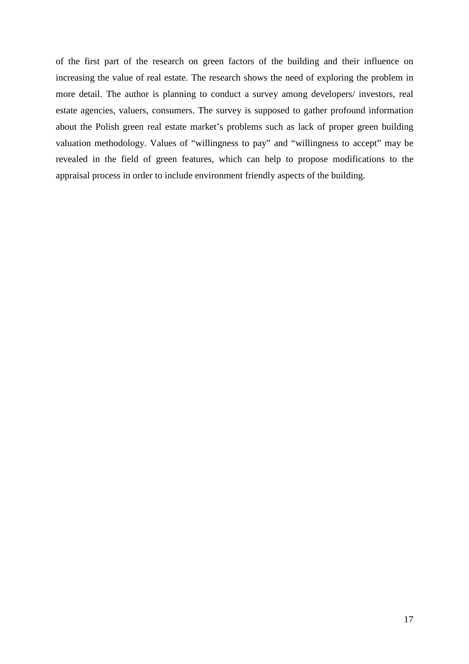of the first part of the research on green factors of the building and their influence on increasing the value of real estate. The research shows the need of exploring the problem in more detail. The author is planning to conduct a survey among developers/ investors, real estate agencies, valuers, consumers. The survey is supposed to gather profound information about the Polish green real estate market's problems such as lack of proper green building valuation methodology. Values of "willingness to pay" and "willingness to accept" may be revealed in the field of green features, which can help to propose modifications to the appraisal process in order to include environment friendly aspects of the building.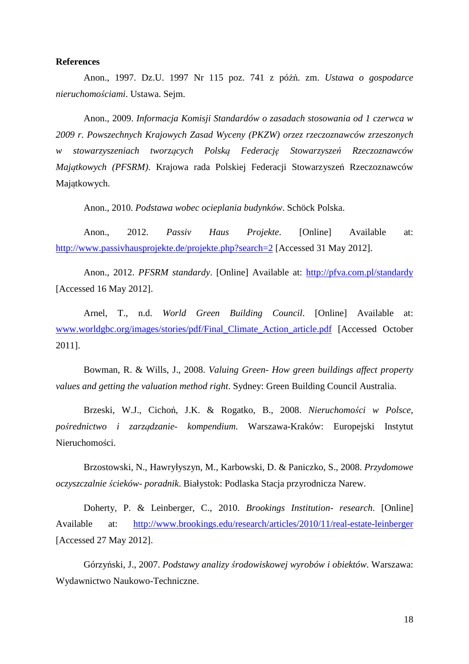### **References**

Anon., 1997. Dz.U. 1997 Nr 115 poz. 741 z późń. zm. *Ustawa o gospodarce nieruchomo*ś*ciami*. Ustawa. Sejm.

Anon., 2009. *Informacja Komisji Standardów o zasadach stosowania od 1 czerwca w 2009 r. Powszechnych Krajowych Zasad Wyceny (PKZW) orzez rzeczoznawców zrzeszonych w stowarzyszeniach tworz*ą*cych Polsk*ą *Federacj*ę *Stowarzysze*ń *Rzeczoznawców Maj*ą*tkowych (PFSRM)*. Krajowa rada Polskiej Federacji Stowarzyszeń Rzeczoznawców Majątkowych.

Anon., 2010. *Podstawa wobec ocieplania budynków*. Schöck Polska.

Anon., 2012. *Passiv Haus Projekte*. [Online] Available at: http://www.passivhausprojekte.de/projekte.php?search=2 [Accessed 31 May 2012].

Anon., 2012. *PFSRM standardy*. [Online] Available at: http://pfva.com.pl/standardy [Accessed 16 May 2012].

Arnel, T., n.d. *World Green Building Council*. [Online] Available at: www.worldgbc.org/images/stories/pdf/Final\_Climate\_Action\_article.pdf [Accessed October 2011].

Bowman, R. & Wills, J., 2008. *Valuing Green- How green buildings affect property values and getting the valuation method right*. Sydney: Green Building Council Australia.

Brzeski, W.J., Cichoń, J.K. & Rogatko, B., 2008. *Nieruchomo*ś*ci w Polsce, po*ś*rednictwo i zarz*ą*dzanie- kompendium*. Warszawa-Kraków: Europejski Instytut Nieruchomości.

Brzostowski, N., Hawryłyszyn, M., Karbowski, D. & Paniczko, S., 2008. *Przydomowe oczyszczalnie* ś*cieków- poradnik*. Białystok: Podlaska Stacja przyrodnicza Narew.

Doherty, P. & Leinberger, C., 2010. *Brookings Institution- research*. [Online] Available at: http://www.brookings.edu/research/articles/2010/11/real-estate-leinberger [Accessed 27 May 2012].

Górzyński, J., 2007. *Podstawy analizy* ś*rodowiskowej wyrobów i obiektów*. Warszawa: Wydawnictwo Naukowo-Techniczne.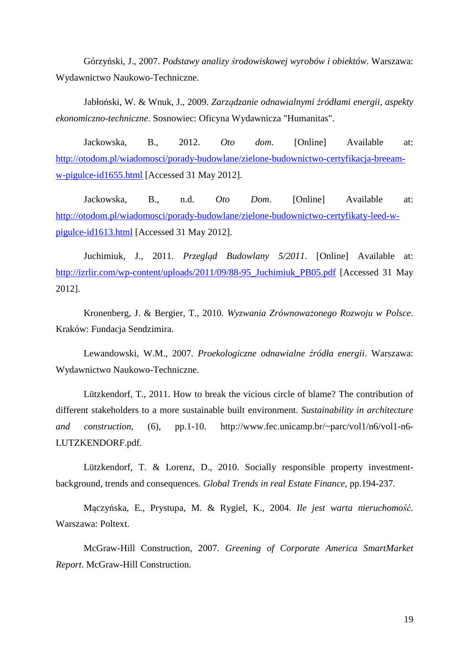Górzyński, J., 2007. *Podstawy analizy* ś*rodowiskowej wyrobów i obiektów*. Warszawa: Wydawnictwo Naukowo-Techniczne.

Jabłoński, W. & Wnuk, J., 2009. *Zarz*ą*dzanie odnawialnymi* ź*ródłami energii, aspekty ekonomiczno-techniczne*. Sosnowiec: Oficyna Wydawnicza "Humanitas".

Jackowska, B., 2012. *Oto dom*. [Online] Available at: http://otodom.pl/wiadomosci/porady-budowlane/zielone-budownictwo-certyfikacja-breeamw-pigulce-id1655.html [Accessed 31 May 2012].

Jackowska, B., n.d. *Oto Dom*. [Online] Available at: http://otodom.pl/wiadomosci/porady-budowlane/zielone-budownictwo-certyfikaty-leed-wpigulce-id1613.html [Accessed 31 May 2012].

Juchimiuk, J., 2011. *Przegl*ą*d Budowlany 5/2011*. [Online] Available at: http://izrlir.com/wp-content/uploads/2011/09/88-95 Juchimiuk PB05.pdf [Accessed 31 May 2012].

Kronenberg, J. & Bergier, T., 2010. *Wyzwania Zrównowa*ż*onego Rozwoju w Polsce*. Kraków: Fundacja Sendzimira.

Lewandowski, W.M., 2007. *Proekologiczne odnawialne* ź*ródła energii*. Warszawa: Wydawnictwo Naukowo-Techniczne.

Lützkendorf, T., 2011. How to break the vicious circle of blame? The contribution of different stakeholders to a more sustainable built environment. *Sustainability in architecture and construction*, (6), pp.1-10. http://www.fec.unicamp.br/~parc/vol1/n6/vol1-n6- LUTZKENDORF.pdf.

Lützkendorf, T. & Lorenz, D., 2010. Socially responsible property investmentbackground, trends and consequences. *Global Trends in real Estate Finance*, pp.194-237.

Mączyńska, E., Prystupa, M. & Rygiel, K., 2004. *Ile jest warta nieruchomo*ść. Warszawa: Poltext.

McGraw-Hill Construction, 2007. *Greening of Corporate America SmartMarket Report*. McGraw-Hill Construction.